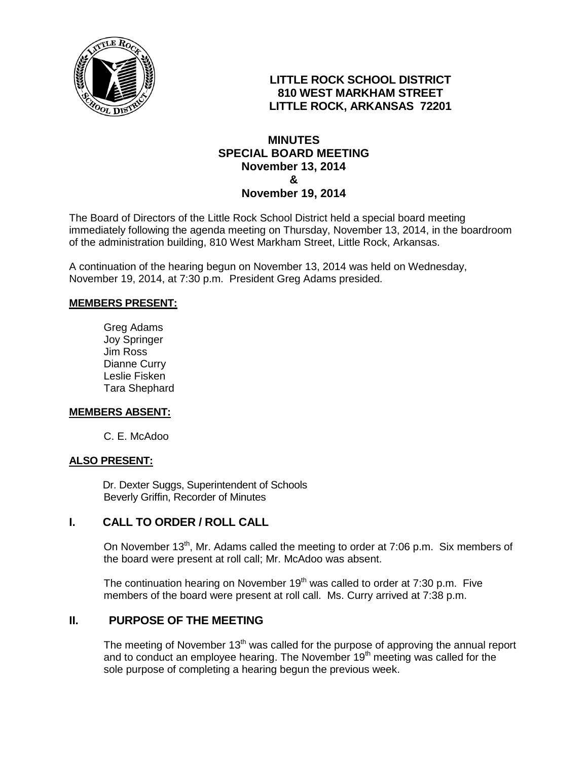

# **LITTLE ROCK SCHOOL DISTRICT 810 WEST MARKHAM STREET LITTLE ROCK, ARKANSAS 72201**

### **MINUTES SPECIAL BOARD MEETING November 13, 2014 & November 19, 2014**

The Board of Directors of the Little Rock School District held a special board meeting immediately following the agenda meeting on Thursday, November 13, 2014, in the boardroom of the administration building, 810 West Markham Street, Little Rock, Arkansas.

A continuation of the hearing begun on November 13, 2014 was held on Wednesday, November 19, 2014, at 7:30 p.m. President Greg Adams presided.

#### **MEMBERS PRESENT:**

Greg Adams Joy Springer Jim Ross Dianne Curry Leslie Fisken Tara Shephard

#### **MEMBERS ABSENT:**

C. E. McAdoo

#### **ALSO PRESENT:**

 Dr. Dexter Suggs, Superintendent of Schools Beverly Griffin, Recorder of Minutes

### **I. CALL TO ORDER / ROLL CALL**

On November 13<sup>th</sup>, Mr. Adams called the meeting to order at 7:06 p.m. Six members of the board were present at roll call; Mr. McAdoo was absent.

The continuation hearing on November  $19<sup>th</sup>$  was called to order at 7:30 p.m. Five members of the board were present at roll call. Ms. Curry arrived at 7:38 p.m.

### **II. PURPOSE OF THE MEETING**

The meeting of November  $13<sup>th</sup>$  was called for the purpose of approving the annual report and to conduct an employee hearing. The November  $19<sup>th</sup>$  meeting was called for the sole purpose of completing a hearing begun the previous week.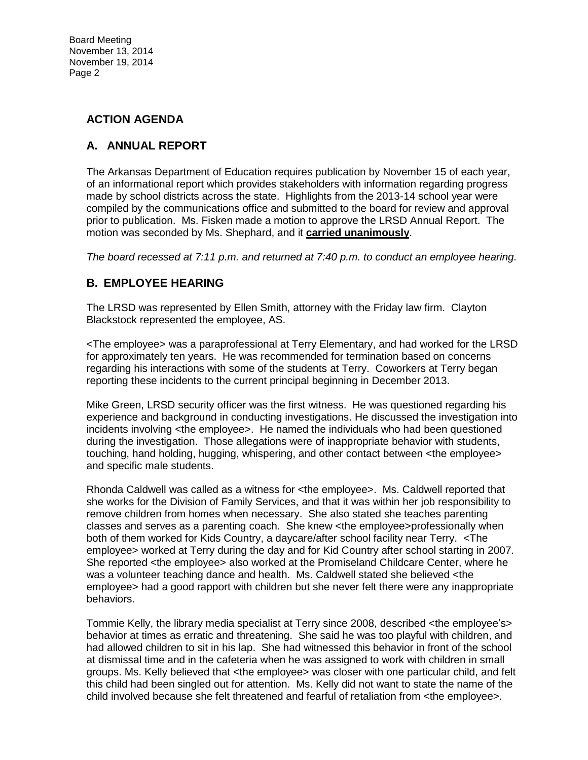## **ACTION AGENDA**

# **A. ANNUAL REPORT**

The Arkansas Department of Education requires publication by November 15 of each year, of an informational report which provides stakeholders with information regarding progress made by school districts across the state. Highlights from the 2013-14 school year were compiled by the communications office and submitted to the board for review and approval prior to publication. Ms. Fisken made a motion to approve the LRSD Annual Report. The motion was seconded by Ms. Shephard, and it **carried unanimously**.

*The board recessed at 7:11 p.m. and returned at 7:40 p.m. to conduct an employee hearing.* 

# **B. EMPLOYEE HEARING**

The LRSD was represented by Ellen Smith, attorney with the Friday law firm. Clayton Blackstock represented the employee, AS.

<The employee> was a paraprofessional at Terry Elementary, and had worked for the LRSD for approximately ten years. He was recommended for termination based on concerns regarding his interactions with some of the students at Terry. Coworkers at Terry began reporting these incidents to the current principal beginning in December 2013.

Mike Green, LRSD security officer was the first witness. He was questioned regarding his experience and background in conducting investigations. He discussed the investigation into incidents involving <the employee>. He named the individuals who had been questioned during the investigation. Those allegations were of inappropriate behavior with students, touching, hand holding, hugging, whispering, and other contact between <the employee> and specific male students.

Rhonda Caldwell was called as a witness for <the employee>. Ms. Caldwell reported that she works for the Division of Family Services, and that it was within her job responsibility to remove children from homes when necessary. She also stated she teaches parenting classes and serves as a parenting coach. She knew <the employee>professionally when both of them worked for Kids Country, a daycare/after school facility near Terry. <The employee> worked at Terry during the day and for Kid Country after school starting in 2007. She reported <the employee> also worked at the Promiseland Childcare Center, where he was a volunteer teaching dance and health. Ms. Caldwell stated she believed <the employee> had a good rapport with children but she never felt there were any inappropriate behaviors.

Tommie Kelly, the library media specialist at Terry since 2008, described <the employee's> behavior at times as erratic and threatening. She said he was too playful with children, and had allowed children to sit in his lap. She had witnessed this behavior in front of the school at dismissal time and in the cafeteria when he was assigned to work with children in small groups. Ms. Kelly believed that <the employee> was closer with one particular child, and felt this child had been singled out for attention. Ms. Kelly did not want to state the name of the child involved because she felt threatened and fearful of retaliation from <the employee>.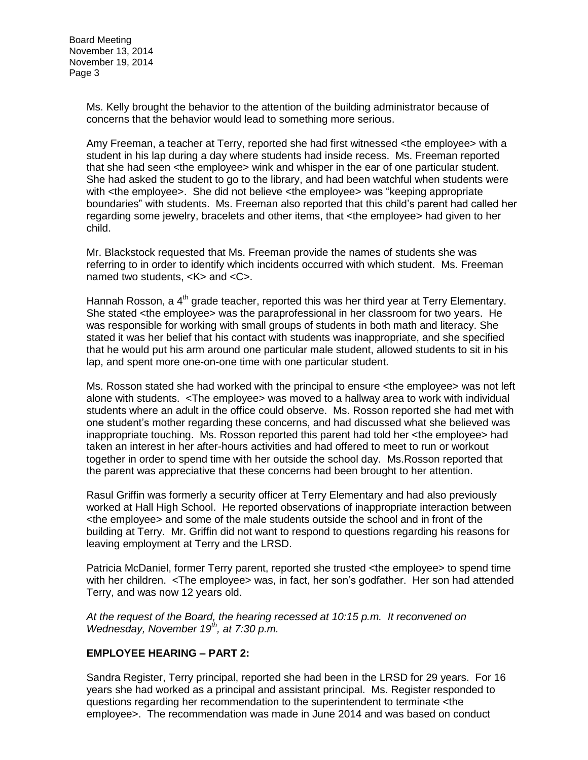> Ms. Kelly brought the behavior to the attention of the building administrator because of concerns that the behavior would lead to something more serious.

Amy Freeman, a teacher at Terry, reported she had first witnessed <the employee> with a student in his lap during a day where students had inside recess. Ms. Freeman reported that she had seen <the employee> wink and whisper in the ear of one particular student. She had asked the student to go to the library, and had been watchful when students were with <the employee>. She did not believe <the employee> was "keeping appropriate boundaries" with students. Ms. Freeman also reported that this child's parent had called her regarding some jewelry, bracelets and other items, that <the employee> had given to her child.

Mr. Blackstock requested that Ms. Freeman provide the names of students she was referring to in order to identify which incidents occurred with which student. Ms. Freeman named two students, <K> and <C>.

Hannah Rosson, a 4<sup>th</sup> grade teacher, reported this was her third year at Terry Elementary. She stated <the employee> was the paraprofessional in her classroom for two years. He was responsible for working with small groups of students in both math and literacy. She stated it was her belief that his contact with students was inappropriate, and she specified that he would put his arm around one particular male student, allowed students to sit in his lap, and spent more one-on-one time with one particular student.

Ms. Rosson stated she had worked with the principal to ensure <the employee> was not left alone with students. <The employee> was moved to a hallway area to work with individual students where an adult in the office could observe. Ms. Rosson reported she had met with one student's mother regarding these concerns, and had discussed what she believed was inappropriate touching. Ms. Rosson reported this parent had told her <the employee> had taken an interest in her after-hours activities and had offered to meet to run or workout together in order to spend time with her outside the school day. Ms.Rosson reported that the parent was appreciative that these concerns had been brought to her attention.

Rasul Griffin was formerly a security officer at Terry Elementary and had also previously worked at Hall High School. He reported observations of inappropriate interaction between <the employee> and some of the male students outside the school and in front of the building at Terry. Mr. Griffin did not want to respond to questions regarding his reasons for leaving employment at Terry and the LRSD.

Patricia McDaniel, former Terry parent, reported she trusted <the employee> to spend time with her children. <The employee> was, in fact, her son's godfather. Her son had attended Terry, and was now 12 years old.

*At the request of the Board, the hearing recessed at 10:15 p.m. It reconvened on Wednesday, November 19<sup>th</sup>, at 7:30 p.m.* 

### **EMPLOYEE HEARING – PART 2:**

Sandra Register, Terry principal, reported she had been in the LRSD for 29 years. For 16 years she had worked as a principal and assistant principal. Ms. Register responded to questions regarding her recommendation to the superintendent to terminate <the employee>. The recommendation was made in June 2014 and was based on conduct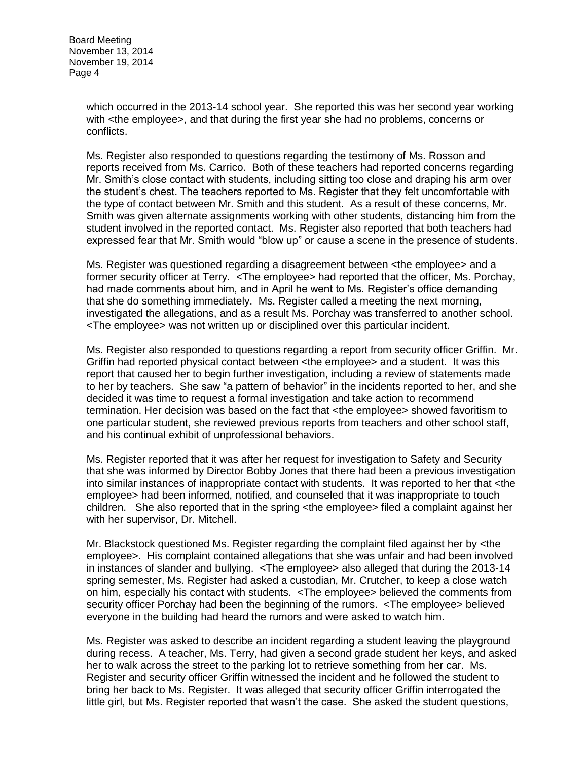> which occurred in the 2013-14 school year. She reported this was her second year working with <the employee>, and that during the first year she had no problems, concerns or conflicts.

> Ms. Register also responded to questions regarding the testimony of Ms. Rosson and reports received from Ms. Carrico. Both of these teachers had reported concerns regarding Mr. Smith's close contact with students, including sitting too close and draping his arm over the student's chest. The teachers reported to Ms. Register that they felt uncomfortable with the type of contact between Mr. Smith and this student. As a result of these concerns, Mr. Smith was given alternate assignments working with other students, distancing him from the student involved in the reported contact. Ms. Register also reported that both teachers had expressed fear that Mr. Smith would "blow up" or cause a scene in the presence of students.

> Ms. Register was questioned regarding a disagreement between <the employee> and a former security officer at Terry. <The employee> had reported that the officer, Ms. Porchay, had made comments about him, and in April he went to Ms. Register's office demanding that she do something immediately. Ms. Register called a meeting the next morning, investigated the allegations, and as a result Ms. Porchay was transferred to another school. <The employee> was not written up or disciplined over this particular incident.

> Ms. Register also responded to questions regarding a report from security officer Griffin. Mr. Griffin had reported physical contact between <the employee> and a student. It was this report that caused her to begin further investigation, including a review of statements made to her by teachers. She saw "a pattern of behavior" in the incidents reported to her, and she decided it was time to request a formal investigation and take action to recommend termination. Her decision was based on the fact that <the employee> showed favoritism to one particular student, she reviewed previous reports from teachers and other school staff, and his continual exhibit of unprofessional behaviors.

> Ms. Register reported that it was after her request for investigation to Safety and Security that she was informed by Director Bobby Jones that there had been a previous investigation into similar instances of inappropriate contact with students. It was reported to her that <the employee> had been informed, notified, and counseled that it was inappropriate to touch children. She also reported that in the spring <the employee> filed a complaint against her with her supervisor, Dr. Mitchell.

> Mr. Blackstock questioned Ms. Register regarding the complaint filed against her by <the employee>. His complaint contained allegations that she was unfair and had been involved in instances of slander and bullying. <The employee> also alleged that during the 2013-14 spring semester, Ms. Register had asked a custodian, Mr. Crutcher, to keep a close watch on him, especially his contact with students. <The employee> believed the comments from security officer Porchay had been the beginning of the rumors. <The employee> believed everyone in the building had heard the rumors and were asked to watch him.

> Ms. Register was asked to describe an incident regarding a student leaving the playground during recess. A teacher, Ms. Terry, had given a second grade student her keys, and asked her to walk across the street to the parking lot to retrieve something from her car. Ms. Register and security officer Griffin witnessed the incident and he followed the student to bring her back to Ms. Register. It was alleged that security officer Griffin interrogated the little girl, but Ms. Register reported that wasn't the case. She asked the student questions,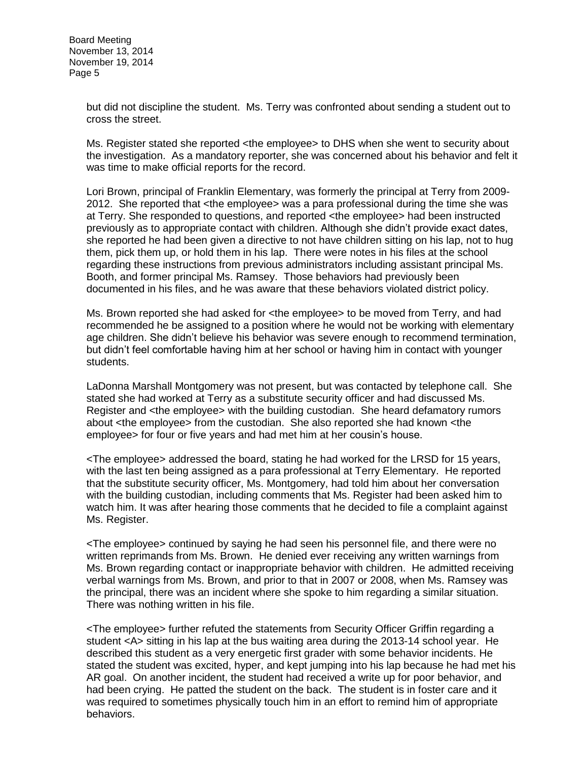but did not discipline the student. Ms. Terry was confronted about sending a student out to cross the street.

Ms. Register stated she reported <the employee> to DHS when she went to security about the investigation. As a mandatory reporter, she was concerned about his behavior and felt it was time to make official reports for the record.

Lori Brown, principal of Franklin Elementary, was formerly the principal at Terry from 2009- 2012. She reported that <the employee> was a para professional during the time she was at Terry. She responded to questions, and reported <the employee> had been instructed previously as to appropriate contact with children. Although she didn't provide exact dates, she reported he had been given a directive to not have children sitting on his lap, not to hug them, pick them up, or hold them in his lap. There were notes in his files at the school regarding these instructions from previous administrators including assistant principal Ms. Booth, and former principal Ms. Ramsey. Those behaviors had previously been documented in his files, and he was aware that these behaviors violated district policy.

Ms. Brown reported she had asked for <the employee> to be moved from Terry, and had recommended he be assigned to a position where he would not be working with elementary age children. She didn't believe his behavior was severe enough to recommend termination, but didn't feel comfortable having him at her school or having him in contact with younger students.

LaDonna Marshall Montgomery was not present, but was contacted by telephone call. She stated she had worked at Terry as a substitute security officer and had discussed Ms. Register and <the employee> with the building custodian. She heard defamatory rumors about <the employee> from the custodian. She also reported she had known <the employee> for four or five years and had met him at her cousin's house.

<The employee> addressed the board, stating he had worked for the LRSD for 15 years, with the last ten being assigned as a para professional at Terry Elementary. He reported that the substitute security officer, Ms. Montgomery, had told him about her conversation with the building custodian, including comments that Ms. Register had been asked him to watch him. It was after hearing those comments that he decided to file a complaint against Ms. Register.

<The employee> continued by saying he had seen his personnel file, and there were no written reprimands from Ms. Brown. He denied ever receiving any written warnings from Ms. Brown regarding contact or inappropriate behavior with children. He admitted receiving verbal warnings from Ms. Brown, and prior to that in 2007 or 2008, when Ms. Ramsey was the principal, there was an incident where she spoke to him regarding a similar situation. There was nothing written in his file.

<The employee> further refuted the statements from Security Officer Griffin regarding a student <A> sitting in his lap at the bus waiting area during the 2013-14 school year. He described this student as a very energetic first grader with some behavior incidents. He stated the student was excited, hyper, and kept jumping into his lap because he had met his AR goal. On another incident, the student had received a write up for poor behavior, and had been crying. He patted the student on the back. The student is in foster care and it was required to sometimes physically touch him in an effort to remind him of appropriate behaviors.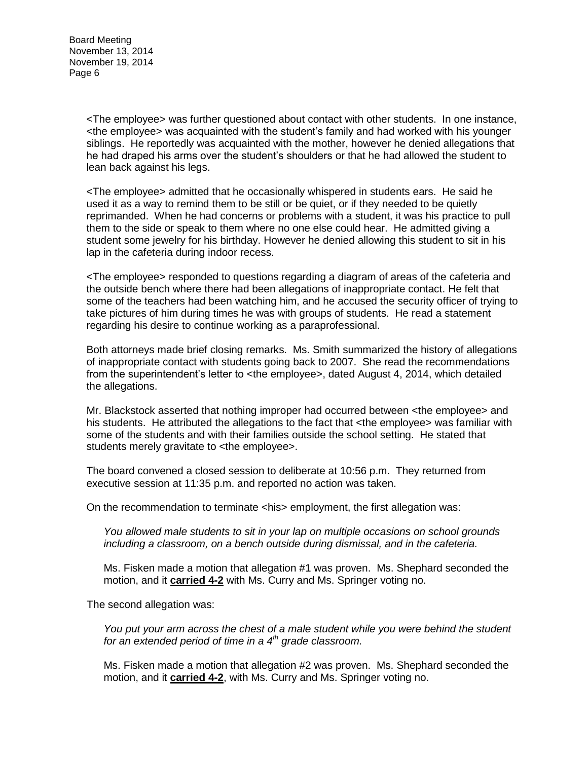> <The employee> was further questioned about contact with other students. In one instance, <the employee> was acquainted with the student's family and had worked with his younger siblings. He reportedly was acquainted with the mother, however he denied allegations that he had draped his arms over the student's shoulders or that he had allowed the student to lean back against his legs.

<The employee> admitted that he occasionally whispered in students ears. He said he used it as a way to remind them to be still or be quiet, or if they needed to be quietly reprimanded. When he had concerns or problems with a student, it was his practice to pull them to the side or speak to them where no one else could hear. He admitted giving a student some jewelry for his birthday. However he denied allowing this student to sit in his lap in the cafeteria during indoor recess.

<The employee> responded to questions regarding a diagram of areas of the cafeteria and the outside bench where there had been allegations of inappropriate contact. He felt that some of the teachers had been watching him, and he accused the security officer of trying to take pictures of him during times he was with groups of students. He read a statement regarding his desire to continue working as a paraprofessional.

Both attorneys made brief closing remarks. Ms. Smith summarized the history of allegations of inappropriate contact with students going back to 2007. She read the recommendations from the superintendent's letter to <the employee>, dated August 4, 2014, which detailed the allegations.

Mr. Blackstock asserted that nothing improper had occurred between <the employee> and his students. He attributed the allegations to the fact that <the employee> was familiar with some of the students and with their families outside the school setting. He stated that students merely gravitate to <the employee>.

The board convened a closed session to deliberate at 10:56 p.m. They returned from executive session at 11:35 p.m. and reported no action was taken.

On the recommendation to terminate <his> employment, the first allegation was:

*You allowed male students to sit in your lap on multiple occasions on school grounds including a classroom, on a bench outside during dismissal, and in the cafeteria.* 

Ms. Fisken made a motion that allegation #1 was proven. Ms. Shephard seconded the motion, and it **carried 4-2** with Ms. Curry and Ms. Springer voting no.

The second allegation was:

*You put your arm across the chest of a male student while you were behind the student for an extended period of time in a 4th grade classroom.* 

Ms. Fisken made a motion that allegation #2 was proven. Ms. Shephard seconded the motion, and it **carried 4-2**, with Ms. Curry and Ms. Springer voting no.